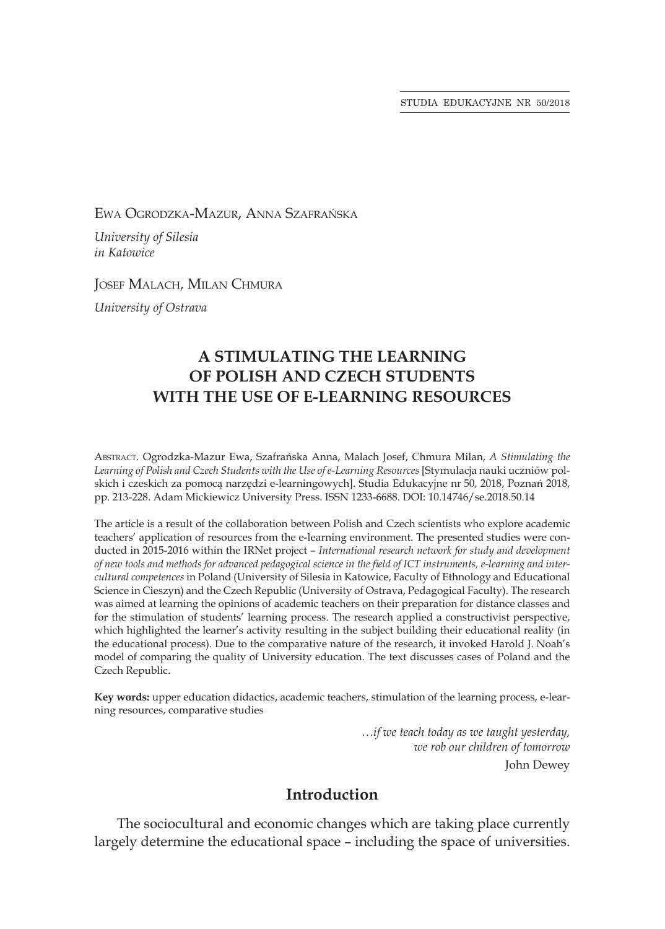STUDIA EDUKACYJNE NR 50/2018

Ewa Ogrodzka-Mazur, Anna Szafrańska

*University of Silesia in Katowice*

Josef Malach, Milan Chmura

*University of Ostrava*

# **A STIMULATING THE LEARNING OF POLISH AND CZECH STUDENTS WITH THE USE OF E-LEARNING RESOURCES**

Abstract. Ogrodzka-Mazur Ewa, Szafrańska Anna, Malach Josef, Chmura Milan, *A Stimulating the Learning of Polish and Czech Students with the Use of e-Learning Resources* [Stymulacja nauki uczniów polskich i czeskich za pomocą narzędzi e-learningowych]. Studia Edukacyjne nr 50, 2018, Poznań 2018, pp. 213-228. Adam Mickiewicz University Press. ISSN 1233-6688. DOI: 10.14746/se.2018.50.14

The article is a result of the collaboration between Polish and Czech scientists who explore academic teachers' application of resources from the e-learning environment. The presented studies were conducted in 2015-2016 within the IRNet project – *International research network for study and development of new tools and methods for advanced pedagogical science in the field of ICT instruments, e-learning and intercultural competences* in Poland (University of Silesia in Katowice, Faculty of Ethnology and Educational Science in Cieszyn) and the Czech Republic (University of Ostrava, Pedagogical Faculty). The research was aimed at learning the opinions of academic teachers on their preparation for distance classes and for the stimulation of students' learning process. The research applied a constructivist perspective, which highlighted the learner's activity resulting in the subject building their educational reality (in the educational process). Due to the comparative nature of the research, it invoked Harold J. Noah's model of comparing the quality of University education. The text discusses cases of Poland and the Czech Republic.

**Key words:** upper education didactics, academic teachers, stimulation of the learning process, e-learning resources, comparative studies

> *…if we teach today as we taught yesterday, we rob our children of tomorrow* John Dewey

## **Introduction**

The sociocultural and economic changes which are taking place currently largely determine the educational space – including the space of universities.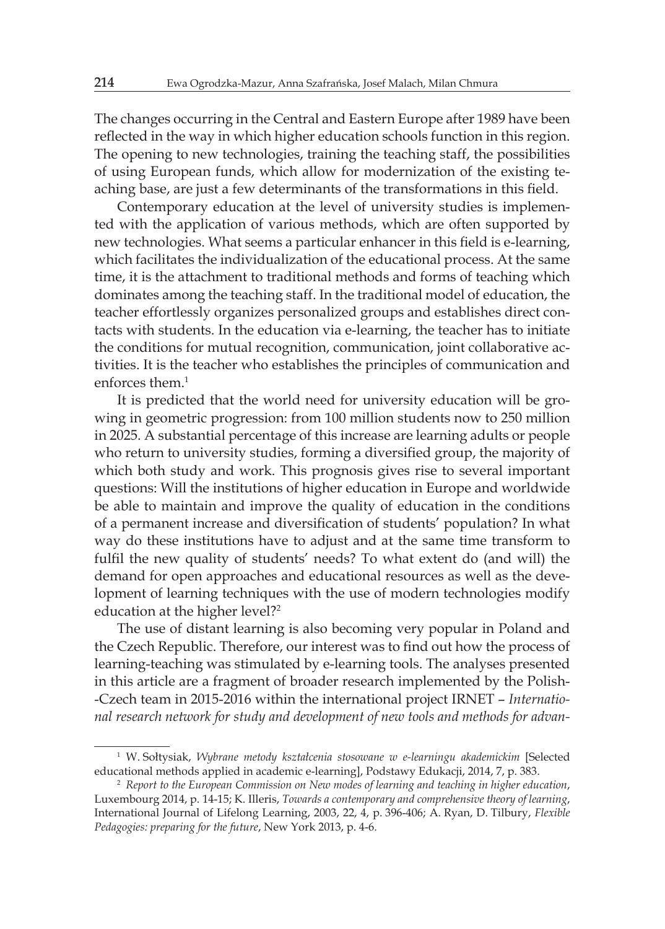The changes occurring in the Central and Eastern Europe after 1989 have been reflected in the way in which higher education schools function in this region. The opening to new technologies, training the teaching staff, the possibilities of using European funds, which allow for modernization of the existing teaching base, are just a few determinants of the transformations in this field.

Contemporary education at the level of university studies is implemented with the application of various methods, which are often supported by new technologies. What seems a particular enhancer in this field is e-learning, which facilitates the individualization of the educational process. At the same time, it is the attachment to traditional methods and forms of teaching which dominates among the teaching staff. In the traditional model of education, the teacher effortlessly organizes personalized groups and establishes direct contacts with students. In the education via e-learning, the teacher has to initiate the conditions for mutual recognition, communication, joint collaborative activities. It is the teacher who establishes the principles of communication and enforces them.<sup>1</sup>

It is predicted that the world need for university education will be growing in geometric progression: from 100 million students now to 250 million in 2025. A substantial percentage of this increase are learning adults or people who return to university studies, forming a diversified group, the majority of which both study and work. This prognosis gives rise to several important questions: Will the institutions of higher education in Europe and worldwide be able to maintain and improve the quality of education in the conditions of a permanent increase and diversification of students' population? In what way do these institutions have to adjust and at the same time transform to fulfil the new quality of students' needs? To what extent do (and will) the demand for open approaches and educational resources as well as the development of learning techniques with the use of modern technologies modify education at the higher level?<sup>2</sup>

The use of distant learning is also becoming very popular in Poland and the Czech Republic. Therefore, our interest was to find out how the process of learning-teaching was stimulated by e-learning tools. The analyses presented in this article are a fragment of broader research implemented by the Polish- -Czech team in 2015-2016 within the international project IRNET – *International research network for study and development of new tools and methods for advan-*

<sup>1</sup> W. Sołtysiak, *Wybrane metody kształcenia stosowane w e-learningu akademickim* [Selected educational methods applied in academic e-learning], Podstawy Edukacji, 2014, 7, p. 383.

<sup>2</sup> *Report to the European Commission on New modes of learning and teaching in higher education*, Luxembourg 2014, p. 14-15; K. Illeris, *Towards a contemporary and comprehensive theory of learning*, International Journal of Lifelong Learning, 2003, 22, 4, p. 396-406; A. Ryan, D. Tilbury, *Flexible Pedagogies: preparing for the future*, New York 2013, p. 4-6.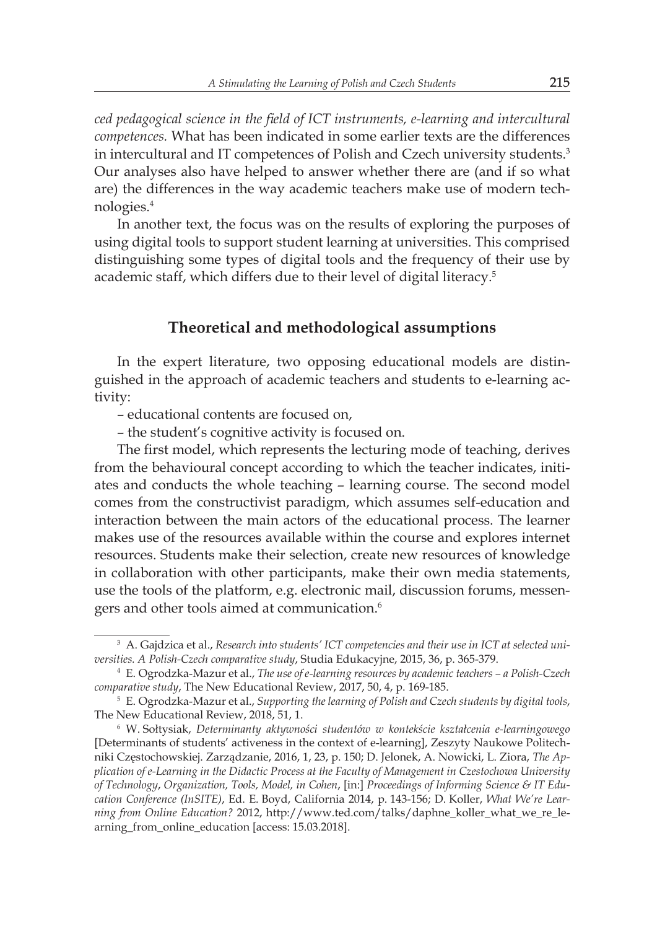*ced pedagogical science in the field of ICT instruments, e-learning and intercultural competences.* What has been indicated in some earlier texts are the differences in intercultural and IT competences of Polish and Czech university students.<sup>3</sup> Our analyses also have helped to answer whether there are (and if so what are) the differences in the way academic teachers make use of modern technologies.4

In another text, the focus was on the results of exploring the purposes of using digital tools to support student learning at universities. This comprised distinguishing some types of digital tools and the frequency of their use by academic staff, which differs due to their level of digital literacy.<sup>5</sup>

### **Theoretical and methodological assumptions**

In the expert literature, two opposing educational models are distinguished in the approach of academic teachers and students to e-learning activity:

– educational contents are focused on,

– the student's cognitive activity is focused on.

The first model, which represents the lecturing mode of teaching, derives from the behavioural concept according to which the teacher indicates, initiates and conducts the whole teaching – learning course. The second model comes from the constructivist paradigm, which assumes self-education and interaction between the main actors of the educational process. The learner makes use of the resources available within the course and explores internet resources. Students make their selection, create new resources of knowledge in collaboration with other participants, make their own media statements, use the tools of the platform, e.g. electronic mail, discussion forums, messengers and other tools aimed at communication.<sup>6</sup>

<sup>3</sup> A. Gajdzica et al., *Research into students' ICT competencies and their use in ICT at selected universities. A Polish-Czech comparative study*, Studia Edukacyjne, 2015, 36, p. 365-379.

<sup>4</sup> E. Ogrodzka-Mazur et al., *The use of e-learning resources by academic teachers – a Polish-Czech comparative study*, The New Educational Review, 2017, 50, 4, p. 169-185.

<sup>5</sup> E. Ogrodzka-Mazur et al., *Supporting the learning of Polish and Czech students by digital tools*, The New Educational Review, 2018, 51, 1.

<sup>6</sup> W. Sołtysiak, *Determinanty aktywności studentów w kontekście kształcenia e-learningowego* [Determinants of students' activeness in the context of e-learning], Zeszyty Naukowe Politechniki Częstochowskiej. Zarządzanie, 2016, 1, 23, p. 150; D. Jelonek, A. Nowicki, L. Ziora, *The Application of e-Learning in the Didactic Process at the Faculty of Management in Czestochowa University of Technology*, *Organization, Tools, Model, in Cohen*, [in:] *Proceedings of Informing Science & IT Education Conference (InSITE)*, Ed. E. Boyd, California 2014, p. 143-156; D. Koller, *What We're Learning from Online Education?* 2012, http://www.ted.com/talks/daphne\_koller\_what\_we\_re\_learning\_from\_online\_education [access: 15.03.2018].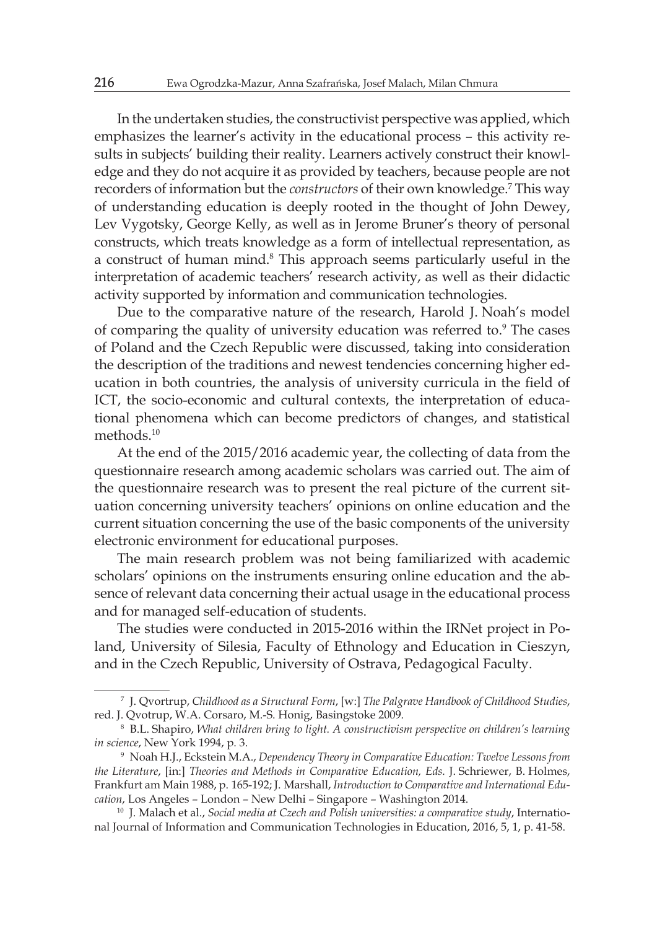In the undertaken studies, the constructivist perspective was applied, which emphasizes the learner's activity in the educational process – this activity results in subjects' building their reality. Learners actively construct their knowledge and they do not acquire it as provided by teachers, because people are not recorders of information but the *constructors* of their own knowledge.<sup>7</sup> This way of understanding education is deeply rooted in the thought of John Dewey, Lev Vygotsky, George Kelly, as well as in Jerome Bruner's theory of personal constructs, which treats knowledge as a form of intellectual representation, as a construct of human mind.<sup>8</sup> This approach seems particularly useful in the interpretation of academic teachers' research activity, as well as their didactic activity supported by information and communication technologies.

Due to the comparative nature of the research, Harold J. Noah's model of comparing the quality of university education was referred to.<sup>9</sup> The cases of Poland and the Czech Republic were discussed, taking into consideration the description of the traditions and newest tendencies concerning higher education in both countries, the analysis of university curricula in the field of ICT, the socio-economic and cultural contexts, the interpretation of educational phenomena which can become predictors of changes, and statistical methods.<sup>10</sup>

At the end of the 2015/2016 academic year, the collecting of data from the questionnaire research among academic scholars was carried out. The aim of the questionnaire research was to present the real picture of the current situation concerning university teachers' opinions on online education and the current situation concerning the use of the basic components of the university electronic environment for educational purposes.

The main research problem was not being familiarized with academic scholars' opinions on the instruments ensuring online education and the absence of relevant data concerning their actual usage in the educational process and for managed self-education of students.

The studies were conducted in 2015-2016 within the IRNet project in Poland, University of Silesia, Faculty of Ethnology and Education in Cieszyn, and in the Czech Republic, University of Ostrava, Pedagogical Faculty.

<sup>7</sup> J. Qvortrup, *Childhood as a Structural Form*, [w:] *The Palgrave Handbook of Childhood Studies*, red. J. Qvotrup, W.A. Corsaro, M.-S. Honig, Basingstoke 2009.

<sup>8</sup> B.L. Shapiro, *What children bring to light. A constructivism perspective on children's learning in science*, New York 1994, p. 3.

<sup>9</sup> Noah H.J., Eckstein M.A., *Dependency Theory in Comparative Education: Twelve Lessons from the Literature*, [in:] *Theories and Methods in Comparative Education, Eds.* J. Schriewer, B. Holmes, Frankfurt am Main 1988, p. 165-192; J. Marshall, *Introduction to Comparative and International Education*, Los Angeles – London – New Delhi – Singapore – Washington 2014.

<sup>10</sup> J. Malach et al., *Social media at Czech and Polish universities: a comparative study*, International Journal of Information and Communication Technologies in Education, 2016, 5, 1, p. 41-58.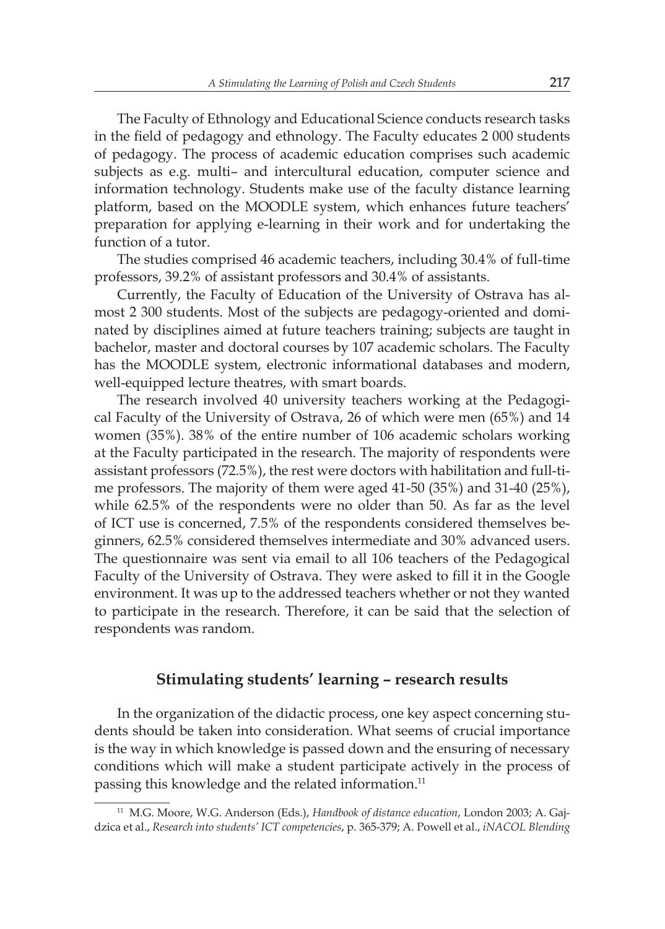The Faculty of Ethnology and Educational Science conducts research tasks in the field of pedagogy and ethnology. The Faculty educates 2 000 students of pedagogy. The process of academic education comprises such academic subjects as e.g. multi– and intercultural education, computer science and information technology. Students make use of the faculty distance learning platform, based on the MOODLE system, which enhances future teachers' preparation for applying e-learning in their work and for undertaking the function of a tutor.

The studies comprised 46 academic teachers, including 30.4% of full-time professors, 39.2% of assistant professors and 30.4% of assistants.

Currently, the Faculty of Education of the University of Ostrava has almost 2 300 students. Most of the subjects are pedagogy-oriented and dominated by disciplines aimed at future teachers training; subjects are taught in bachelor, master and doctoral courses by 107 academic scholars. The Faculty has the MOODLE system, electronic informational databases and modern, well-equipped lecture theatres, with smart boards.

The research involved 40 university teachers working at the Pedagogical Faculty of the University of Ostrava, 26 of which were men (65%) and 14 women (35%). 38% of the entire number of 106 academic scholars working at the Faculty participated in the research. The majority of respondents were assistant professors (72.5%), the rest were doctors with habilitation and full-time professors. The majority of them were aged 41-50 (35%) and 31-40 (25%), while 62.5% of the respondents were no older than 50. As far as the level of ICT use is concerned, 7.5% of the respondents considered themselves beginners, 62.5% considered themselves intermediate and 30% advanced users. The questionnaire was sent via email to all 106 teachers of the Pedagogical Faculty of the University of Ostrava. They were asked to fill it in the Google environment. It was up to the addressed teachers whether or not they wanted to participate in the research. Therefore, it can be said that the selection of respondents was random.

### **Stimulating students' learning – research results**

In the organization of the didactic process, one key aspect concerning students should be taken into consideration. What seems of crucial importance is the way in which knowledge is passed down and the ensuring of necessary conditions which will make a student participate actively in the process of passing this knowledge and the related information.<sup>11</sup>

<sup>11</sup> M.G. Moore, W.G. Anderson (Eds.), *Handbook of distance education*, London 2003; A. Gajdzica et al., *Research into students' ICT competencies*, p. 365-379; A. Powell et al., *iNACOL Blending*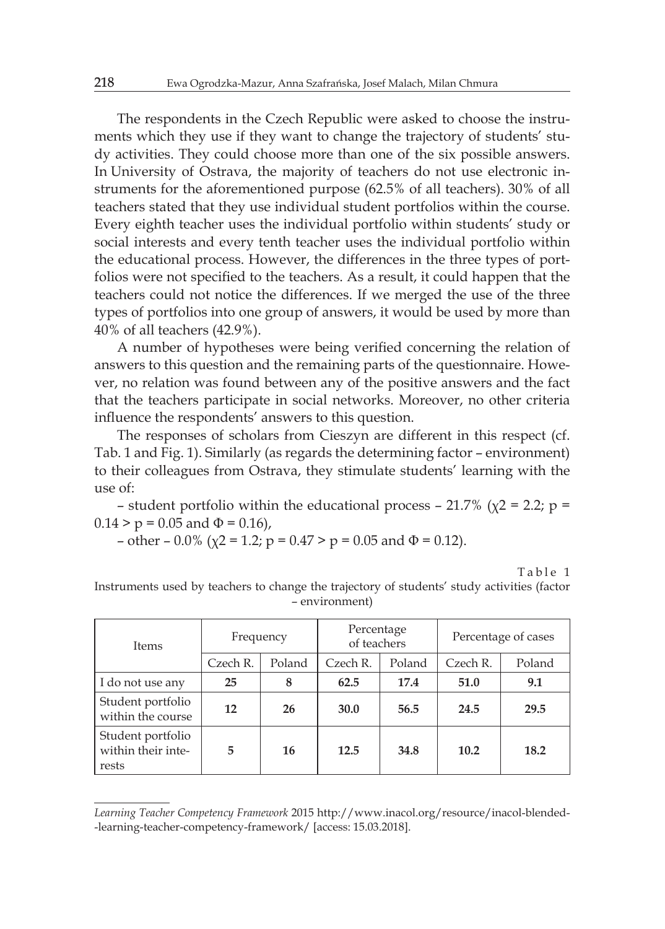The respondents in the Czech Republic were asked to choose the instruments which they use if they want to change the trajectory of students' study activities. They could choose more than one of the six possible answers. In University of Ostrava, the majority of teachers do not use electronic instruments for the aforementioned purpose (62.5% of all teachers). 30% of all teachers stated that they use individual student portfolios within the course. Every eighth teacher uses the individual portfolio within students' study or social interests and every tenth teacher uses the individual portfolio within the educational process. However, the differences in the three types of portfolios were not specified to the teachers. As a result, it could happen that the teachers could not notice the differences. If we merged the use of the three types of portfolios into one group of answers, it would be used by more than 40% of all teachers (42.9%).

A number of hypotheses were being verified concerning the relation of answers to this question and the remaining parts of the questionnaire. However, no relation was found between any of the positive answers and the fact that the teachers participate in social networks. Moreover, no other criteria influence the respondents' answers to this question.

The responses of scholars from Cieszyn are different in this respect (cf. Tab. 1 and Fig. 1). Similarly (as regards the determining factor – environment) to their colleagues from Ostrava, they stimulate students' learning with the use of:

– student portfolio within the educational process – 21.7% ( $\chi$ 2 = 2.2; p =  $0.14 > p = 0.05$  and  $\Phi = 0.16$ ,

- other - 0.0% (
$$
\chi
$$
2 = 1.2; p = 0.47 > p = 0.05 and  $\Phi$  = 0.12).

Table 1

| <b>Items</b>                                     | Frequency        |    | Percentage<br>of teachers |      | Percentage of cases |      |
|--------------------------------------------------|------------------|----|---------------------------|------|---------------------|------|
|                                                  |                  |    |                           |      |                     |      |
|                                                  | I do not use any | 25 | 8                         | 62.5 | 17.4                | 51.0 |
| Student portfolio<br>within the course           | 12               | 26 | 30.0                      | 56.5 | 24.5                | 29.5 |
| Student portfolio<br>within their inte-<br>rests | 5                | 16 | 12.5                      | 34.8 | 10.2                | 18.2 |

Instruments used by teachers to change the trajectory of students' study activities (factor – environment)

*Learning Teacher Competency Framework* 2015 http://www.inacol.org/resource/inacol-blended- -learning-teacher-competency-framework/ [access: 15.03.2018].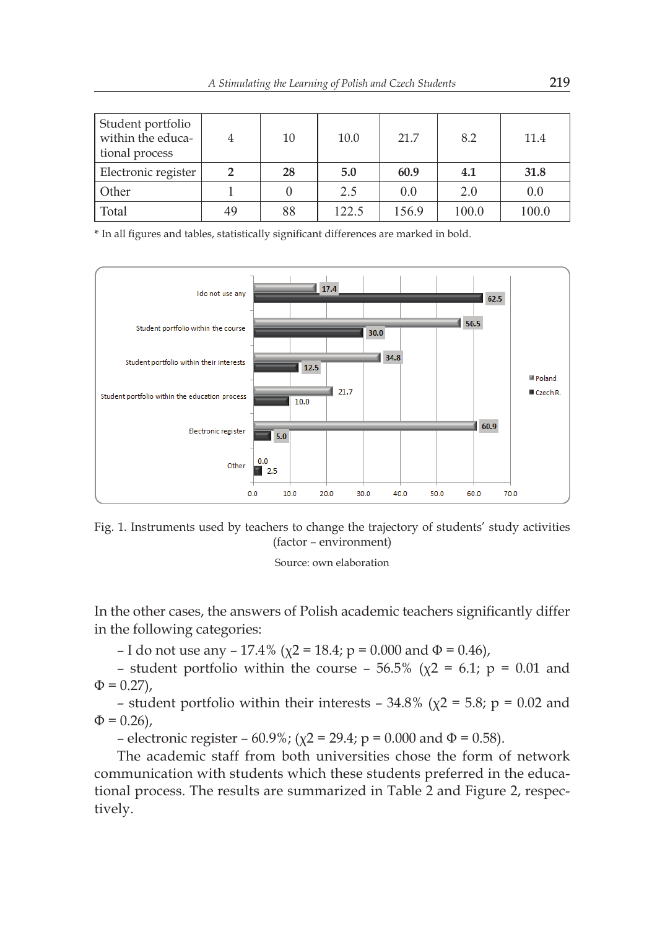| Student portfolio<br>within the educa-<br>tional process |    | 10 | 10.0  | 21.7  | 8.2   | 11.4  |
|----------------------------------------------------------|----|----|-------|-------|-------|-------|
| Electronic register                                      |    | 28 | 5.0   | 60.9  | 4.1   | 31.8  |
| Other                                                    |    |    | 2.5   | 0.0   | 2.0   | 0.0   |
| Total                                                    | 49 | 88 | 122.5 | 156.9 | 100.0 | 100.0 |

**\*** In all figures and tables, statistically significant differences are marked in bold.



Fig. 1. Instruments used by teachers to change the trajectory of students' study activities (factor – environment)

Source: own elaboration

In the other cases, the answers of Polish academic teachers significantly differ in the following categories:

– I do not use any – 17.4% ( $\chi$ 2 = 18.4; p = 0.000 and  $\Phi$  = 0.46),

– student portfolio within the course –  $56.5\%$  ( $\chi$ 2 = 6.1; p = 0.01 and  $\Phi = 0.27$ ),

– student portfolio within their interests – 34.8% ( $\chi$ 2 = 5.8; p = 0.02 and  $\Phi = 0.26$ ,

– electronic register – 60.9%; ( $\chi$ 2 = 29.4; p = 0.000 and Φ = 0.58).

The academic staff from both universities chose the form of network communication with students which these students preferred in the educational process. The results are summarized in Table 2 and Figure 2, respectively.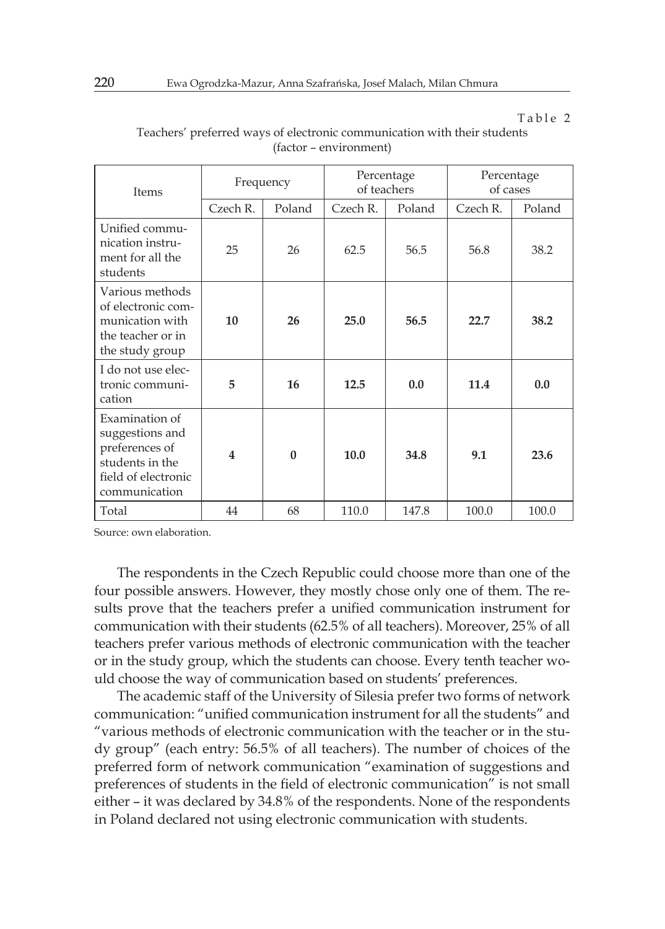Table 2

| Items                                                                                                          | Frequency               |          | Percentage<br>of teachers |        | Percentage<br>of cases |        |
|----------------------------------------------------------------------------------------------------------------|-------------------------|----------|---------------------------|--------|------------------------|--------|
|                                                                                                                | Czech R.                | Poland   | Czech R.                  | Poland | Czech R.               | Poland |
| Unified commu-<br>nication instru-<br>ment for all the<br>students                                             | 25                      | 26       | 62.5                      | 56.5   | 56.8                   | 38.2   |
| Various methods<br>of electronic com-<br>munication with<br>the teacher or in<br>the study group               | 10                      | 26       | 25.0                      | 56.5   | 22.7                   | 38.2   |
| I do not use elec-<br>tronic communi-<br>cation                                                                | 5                       | 16       | 12.5                      | 0.0    | 11.4                   | 0.0    |
| Examination of<br>suggestions and<br>preferences of<br>students in the<br>field of electronic<br>communication | $\overline{\mathbf{4}}$ | $\Omega$ | 10.0                      | 34.8   | 9.1                    | 23.6   |
| Total                                                                                                          | 44                      | 68       | 110.0                     | 147.8  | 100.0                  | 100.0  |

Teachers' preferred ways of electronic communication with their students (factor – environment)

Source: own elaboration.

The respondents in the Czech Republic could choose more than one of the four possible answers. However, they mostly chose only one of them. The results prove that the teachers prefer a unified communication instrument for communication with their students (62.5% of all teachers). Moreover, 25% of all teachers prefer various methods of electronic communication with the teacher or in the study group, which the students can choose. Every tenth teacher would choose the way of communication based on students' preferences.

The academic staff of the University of Silesia prefer two forms of network communication: "unified communication instrument for all the students" and "various methods of electronic communication with the teacher or in the study group" (each entry: 56.5% of all teachers). The number of choices of the preferred form of network communication "examination of suggestions and preferences of students in the field of electronic communication" is not small either – it was declared by 34.8% of the respondents. None of the respondents in Poland declared not using electronic communication with students.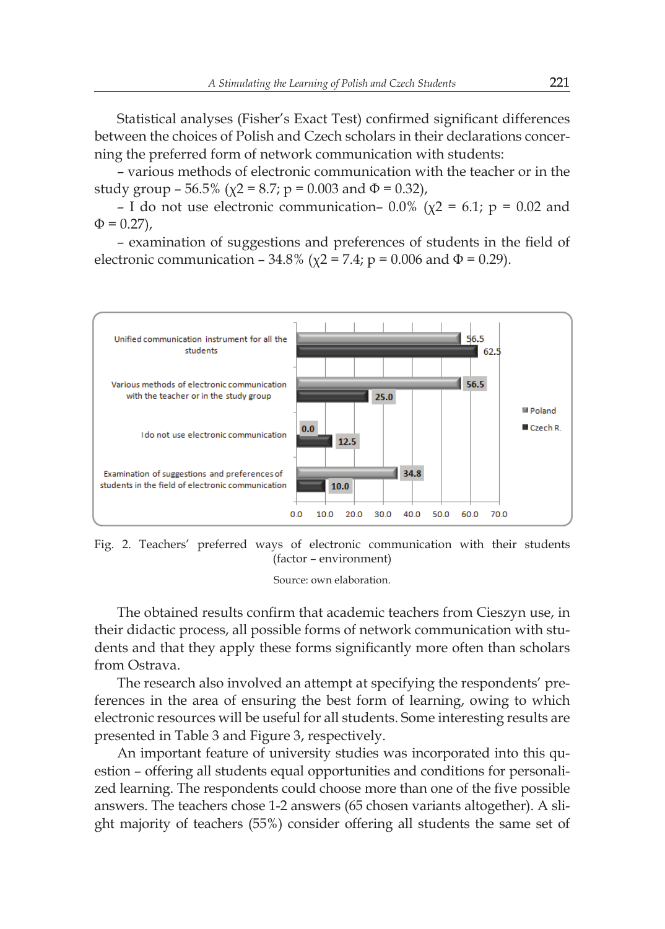Statistical analyses (Fisher's Exact Test) confirmed significant differences between the choices of Polish and Czech scholars in their declarations concerning the preferred form of network communication with students:

– various methods of electronic communication with the teacher or in the study group – 56.5% ( $\chi$ 2 = 8.7; p = 0.003 and  $\Phi$  = 0.32),

– I do not use electronic communication– 0.0% ( $\chi$ 2 = 6.1; p = 0.02 and  $\Phi = 0.27$ ),

– examination of suggestions and preferences of students in the field of electronic communication – 34.8% ( $\chi$ 2 = 7.4; p = 0.006 and Φ = 0.29).



Fig. 2. Teachers' preferred ways of electronic communication with their students (factor – environment)

Source: own elaboration.

The obtained results confirm that academic teachers from Cieszyn use, in their didactic process, all possible forms of network communication with students and that they apply these forms significantly more often than scholars from Ostrava.

The research also involved an attempt at specifying the respondents' preferences in the area of ensuring the best form of learning, owing to which electronic resources will be useful for all students. Some interesting results are presented in Table 3 and Figure 3, respectively.

An important feature of university studies was incorporated into this question – offering all students equal opportunities and conditions for personalized learning. The respondents could choose more than one of the five possible answers. The teachers chose 1-2 answers (65 chosen variants altogether). A slight majority of teachers (55%) consider offering all students the same set of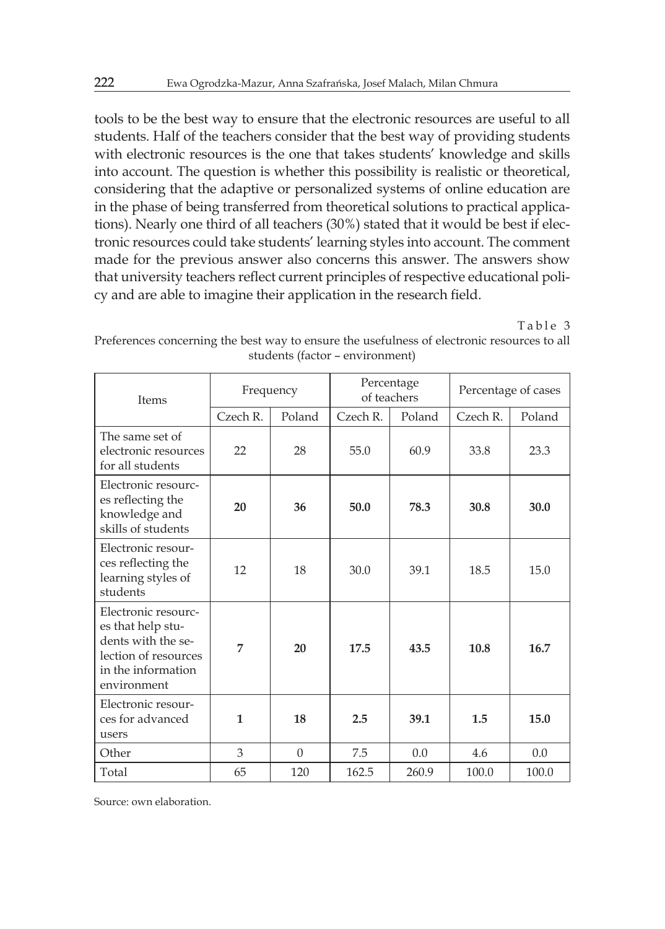tools to be the best way to ensure that the electronic resources are useful to all students. Half of the teachers consider that the best way of providing students with electronic resources is the one that takes students' knowledge and skills into account. The question is whether this possibility is realistic or theoretical, considering that the adaptive or personalized systems of online education are in the phase of being transferred from theoretical solutions to practical applications). Nearly one third of all teachers (30%) stated that it would be best if electronic resources could take students' learning styles into account. The comment made for the previous answer also concerns this answer. The answers show that university teachers reflect current principles of respective educational policy and are able to imagine their application in the research field.

Table 3

| Items                                                                                                                       | Frequency    |          | Percentage<br>of teachers |        | Percentage of cases |        |
|-----------------------------------------------------------------------------------------------------------------------------|--------------|----------|---------------------------|--------|---------------------|--------|
|                                                                                                                             | Czech R.     | Poland   | Czech R.                  | Poland | Czech R.            | Poland |
| The same set of<br>electronic resources<br>for all students                                                                 | 22           | 28       | 55.0                      | 60.9   | 33.8                | 23.3   |
| Electronic resourc-<br>es reflecting the<br>knowledge and<br>skills of students                                             | 20           | 36       | 50.0                      | 78.3   | 30.8                | 30.0   |
| Electronic resour-<br>ces reflecting the<br>learning styles of<br>students                                                  | 12           | 18       | 30.0                      | 39.1   | 18.5                | 15.0   |
| Electronic resourc-<br>es that help stu-<br>dents with the se-<br>lection of resources<br>in the information<br>environment | 7            | 20       | 17.5                      | 43.5   | 10.8                | 16.7   |
| Electronic resour-<br>ces for advanced<br>users                                                                             | $\mathbf{1}$ | 18       | 2.5                       | 39.1   | 1.5                 | 15.0   |
| Other                                                                                                                       | 3            | $\Omega$ | 7.5                       | 0.0    | 4.6                 | 0.0    |
| Total                                                                                                                       | 65           | 120      | 162.5                     | 260.9  | 100.0               | 100.0  |

Preferences concerning the best way to ensure the usefulness of electronic resources to all students (factor – environment)

Source: own elaboration.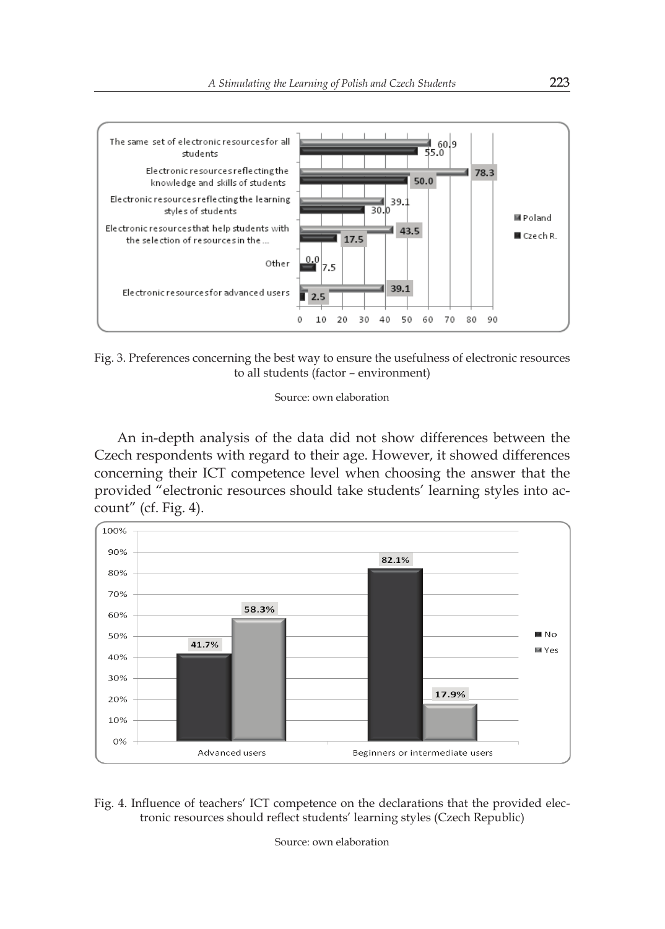

Fig. 3. Preferences concerning the best way to ensure the usefulness of electronic resources to all students (factor – environment)

#### Source: own elaboration

An in-depth analysis of the data did not show differences between the Czech respondents with regard to their age. However, it showed differences 10 concerning their ICT competence level when choosing the answer that the provided "electronic resources should take students' learning styles into account" (cf. Fig. 4).



Fig. 4. Influence of teachers' ICT competence on the declarations that the provided electronic resources should reflect students' learning styles (Czech Republic)

Source: own elaboration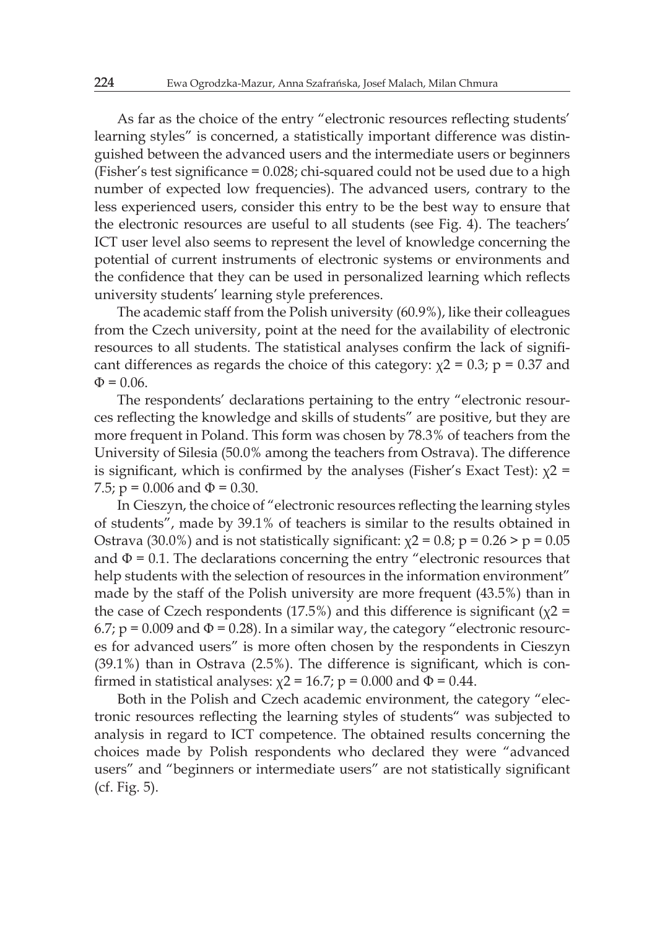As far as the choice of the entry "electronic resources reflecting students' learning styles" is concerned, a statistically important difference was distinguished between the advanced users and the intermediate users or beginners (Fisher's test significance = 0.028; chi-squared could not be used due to a high number of expected low frequencies). The advanced users, contrary to the less experienced users, consider this entry to be the best way to ensure that the electronic resources are useful to all students (see Fig. 4). The teachers' ICT user level also seems to represent the level of knowledge concerning the potential of current instruments of electronic systems or environments and the confidence that they can be used in personalized learning which reflects university students' learning style preferences.

The academic staff from the Polish university (60.9%), like their colleagues from the Czech university, point at the need for the availability of electronic resources to all students. The statistical analyses confirm the lack of significant differences as regards the choice of this category:  $\chi$ 2 = 0.3; p = 0.37 and  $Φ = 0.06.$ 

The respondents' declarations pertaining to the entry "electronic resources reflecting the knowledge and skills of students" are positive, but they are more frequent in Poland. This form was chosen by 78.3% of teachers from the University of Silesia (50.0% among the teachers from Ostrava). The difference is significant, which is confirmed by the analyses (Fisher's Exact Test):  $\chi$ 2 = 7.5;  $p = 0.006$  and  $\Phi = 0.30$ .

In Cieszyn, the choice of "electronic resources reflecting the learning styles of students", made by 39.1% of teachers is similar to the results obtained in Ostrava (30.0%) and is not statistically significant:  $\chi$ 2 = 0.8; p = 0.26 > p = 0.05 and  $\Phi$  = 0.1. The declarations concerning the entry "electronic resources that help students with the selection of resources in the information environment" made by the staff of the Polish university are more frequent (43.5%) than in the case of Czech respondents (17.5%) and this difference is significant ( $\chi$ 2 = 6.7;  $p = 0.009$  and  $\Phi = 0.28$ ). In a similar way, the category "electronic resources for advanced users" is more often chosen by the respondents in Cieszyn (39.1%) than in Ostrava (2.5%). The difference is significant, which is confirmed in statistical analyses:  $\chi$ 2 = 16.7; p = 0.000 and  $\Phi$  = 0.44.

Both in the Polish and Czech academic environment, the category "electronic resources reflecting the learning styles of students" was subjected to analysis in regard to ICT competence. The obtained results concerning the choices made by Polish respondents who declared they were "advanced users" and "beginners or intermediate users" are not statistically significant (cf. Fig. 5).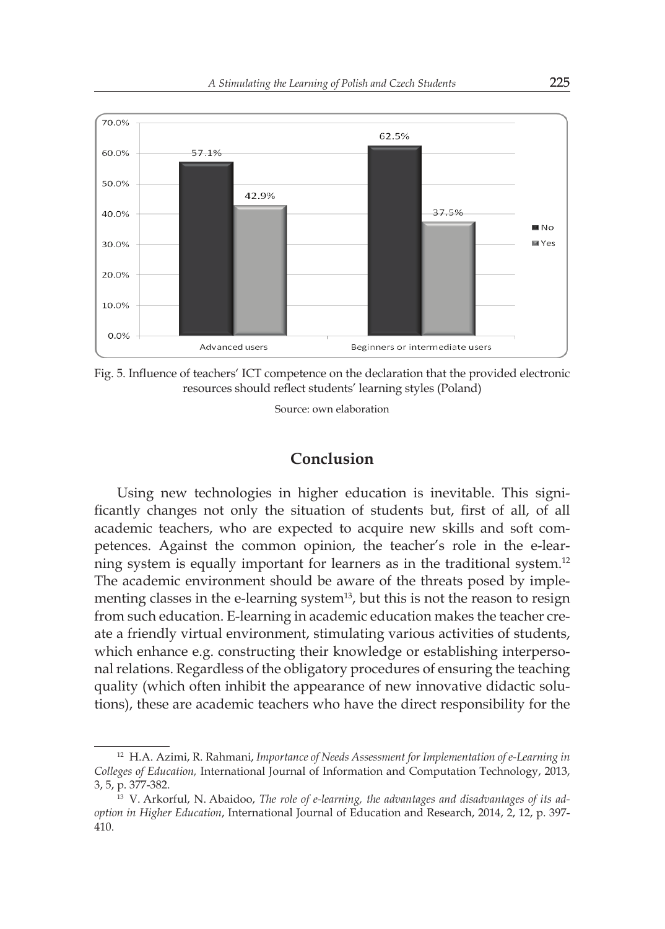

Fig. 5. Influence of teachers' ICT competence on the declaration that the provided electronic resources should reflect students' learning styles (Poland)

Source: own elaboration

## **Conclusion**

Using new technologies in higher education is inevitable. This significantly changes not only the situation of students but, first of all, of all academic teachers, who are expected to acquire new skills and soft competences. Against the common opinion, the teacher's role in the e-learning system is equally important for learners as in the traditional system.<sup>12</sup> The academic environment should be aware of the threats posed by implementing classes in the e-learning system<sup>13</sup>, but this is not the reason to resign from such education. E-learning in academic education makes the teacher create a friendly virtual environment, stimulating various activities of students, which enhance e.g. constructing their knowledge or establishing interpersonal relations. Regardless of the obligatory procedures of ensuring the teaching quality (which often inhibit the appearance of new innovative didactic solutions), these are academic teachers who have the direct responsibility for the

<sup>12</sup> H.A. Azimi, R. Rahmani, *Importance of Needs Assessment for Implementation of e-Learning in Colleges of Education,* International Journal of Information and Computation Technology, 2013, 3, 5, p. 377-382.

<sup>13</sup> V. Arkorful, N. Abaidoo, *The role of e-learning, the advantages and disadvantages of its adoption in Higher Education*, International Journal of Education and Research, 2014, 2, 12, p. 397- 410.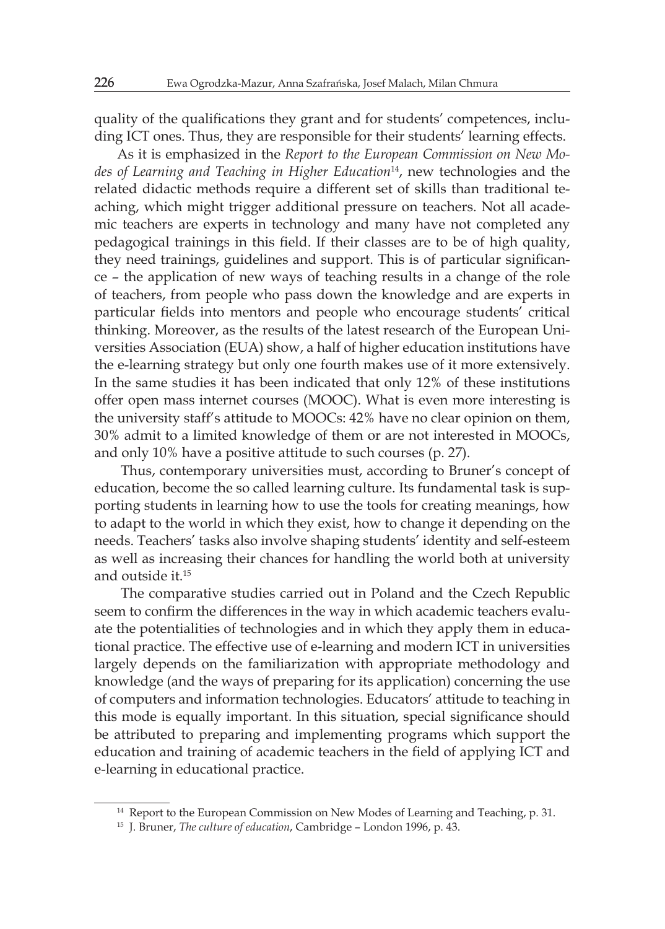quality of the qualifications they grant and for students' competences, including ICT ones. Thus, they are responsible for their students' learning effects.

As it is emphasized in the *Report to the European Commission on New Modes of Learning and Teaching in Higher Education*<sup>14</sup>, new technologies and the related didactic methods require a different set of skills than traditional teaching, which might trigger additional pressure on teachers. Not all academic teachers are experts in technology and many have not completed any pedagogical trainings in this field. If their classes are to be of high quality, they need trainings, guidelines and support. This is of particular significance – the application of new ways of teaching results in a change of the role of teachers, from people who pass down the knowledge and are experts in particular fields into mentors and people who encourage students' critical thinking. Moreover, as the results of the latest research of the European Universities Association (EUA) show, a half of higher education institutions have the e-learning strategy but only one fourth makes use of it more extensively. In the same studies it has been indicated that only 12% of these institutions offer open mass internet courses (MOOC). What is even more interesting is the university staff's attitude to MOOCs: 42% have no clear opinion on them, 30% admit to a limited knowledge of them or are not interested in MOOCs, and only 10% have a positive attitude to such courses (p. 27).

Thus, contemporary universities must, according to Bruner's concept of education, become the so called learning culture. Its fundamental task is supporting students in learning how to use the tools for creating meanings, how to adapt to the world in which they exist, how to change it depending on the needs. Teachers' tasks also involve shaping students' identity and self-esteem as well as increasing their chances for handling the world both at university and outside it.<sup>15</sup>

The comparative studies carried out in Poland and the Czech Republic seem to confirm the differences in the way in which academic teachers evaluate the potentialities of technologies and in which they apply them in educational practice. The effective use of e-learning and modern ICT in universities largely depends on the familiarization with appropriate methodology and knowledge (and the ways of preparing for its application) concerning the use of computers and information technologies. Educators' attitude to teaching in this mode is equally important. In this situation, special significance should be attributed to preparing and implementing programs which support the education and training of academic teachers in the field of applying ICT and e-learning in educational practice.

<sup>14</sup> Report to the European Commission on New Modes of Learning and Teaching, p. 31.

<sup>15</sup> J. Bruner, *The culture of education*, Cambridge – London 1996, p. 43.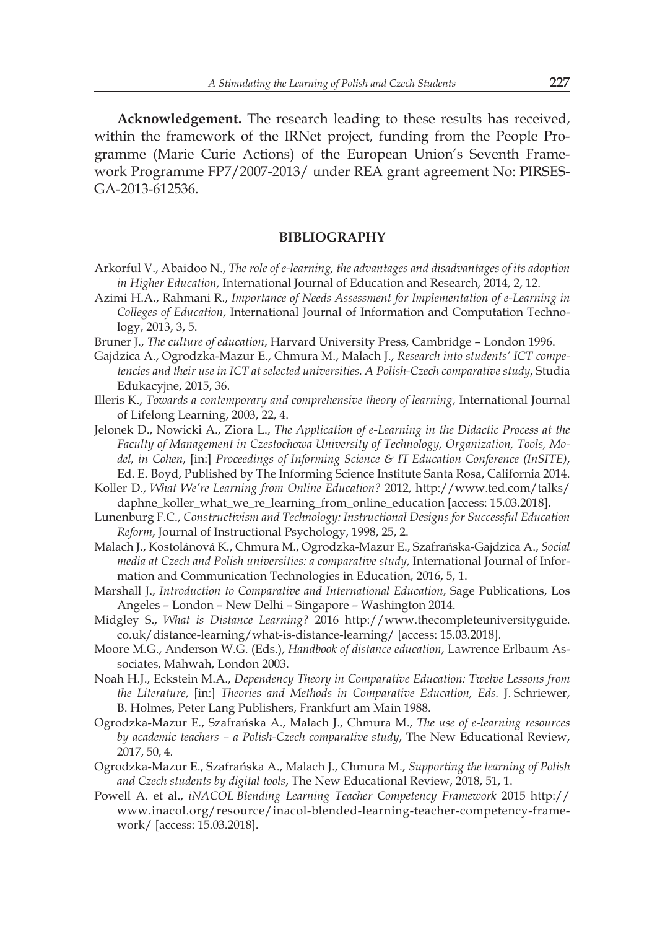**Acknowledgement.** The research leading to these results has received, within the framework of the IRNet project, funding from the People Programme (Marie Curie Actions) of the European Union's Seventh Framework Programme FP7/2007-2013/ under REA grant agreement No: PIRSES-GA-2013-612536.

#### **BIBLIOGRAPHY**

- Arkorful V., Abaidoo N., *The role of e-learning, the advantages and disadvantages of its adoption in Higher Education*, International Journal of Education and Research, 2014, 2, 12.
- Azimi H.A., Rahmani R., *Importance of Needs Assessment for Implementation of e-Learning in Colleges of Education*, International Journal of Information and Computation Technology, 2013, 3, 5.
- Bruner J., *The culture of education*, Harvard University Press, Cambridge London 1996.
- Gajdzica A., Ogrodzka-Mazur E., Chmura M., Malach J., *Research into students' ICT competencies and their use in ICT at selected universities. A Polish-Czech comparative study*, Studia Edukacyjne, 2015, 36.
- Illeris K., *Towards a contemporary and comprehensive theory of learning*, International Journal of Lifelong Learning, 2003, 22, 4.
- Jelonek D., Nowicki A., Ziora L., *The Application of e-Learning in the Didactic Process at the Faculty of Management in Czestochowa University of Technology*, *Organization, Tools, Model, in Cohen*, [in:] *Proceedings of Informing Science & IT Education Conference (InSITE)*, Ed. E. Boyd, Published by The Informing Science Institute Santa Rosa, California 2014.
- Koller D., *What We're Learning from Online Education?* 2012, http://www.ted.com/talks/ daphne\_koller\_what\_we\_re\_learning\_from\_online\_education [access: 15.03.2018].
- Lunenburg F.C., *Constructivism and Technology: Instructional Designs for Successful Education Reform*, Journal of Instructional Psychology, 1998, 25, 2.
- Malach J., Kostolánová K., Chmura M., Ogrodzka-Mazur E., Szafrańska-Gajdzica A., *Social media at Czech and Polish universities: a comparative study*, International Journal of Information and Communication Technologies in Education, 2016, 5, 1.
- Marshall J., *Introduction to Comparative and International Education*, Sage Publications, Los Angeles – London – New Delhi – Singapore – Washington 2014.
- Midgley S., *What is Distance Learning?* 2016 http://www.thecompleteuniversityguide. co.uk/distance-learning/what-is-distance-learning/ [access: 15.03.2018].
- Moore M.G., Anderson W.G. (Eds.), *Handbook of distance education*, Lawrence Erlbaum Associates, Mahwah, London 2003.
- Noah H.J., Eckstein M.A., *Dependency Theory in Comparative Education: Twelve Lessons from the Literature*, [in:] *Theories and Methods in Comparative Education, Eds.* J. Schriewer, B. Holmes, Peter Lang Publishers, Frankfurt am Main 1988.
- Ogrodzka-Mazur E., Szafrańska A., Malach J., Chmura M., *The use of e-learning resources by academic teachers – a Polish-Czech comparative study*, The New Educational Review, 2017, 50, 4.
- Ogrodzka-Mazur E., Szafrańska A., Malach J., Chmura M., *Supporting the learning of Polish and Czech students by digital tools*, The New Educational Review, 2018, 51, 1.
- Powell A. et al., *iNACOL Blending Learning Teacher Competency Framework* 2015 http:// www.inacol.org/resource/inacol-blended-learning-teacher-competency-framework/ [access: 15.03.2018].